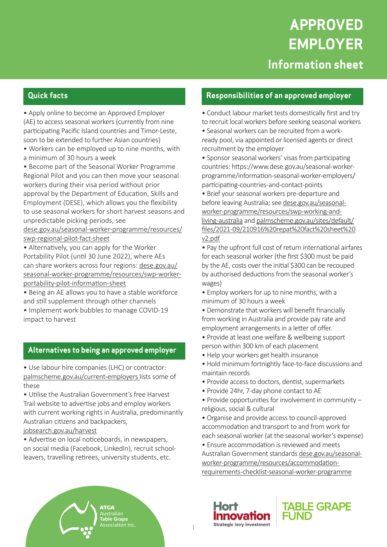## **Quick facts**

• Apply online to become an Approved Employer (AE) to access seasonal workers (currently from nine participating Pacific Island countries and Timor-Leste, soon to be extended to further Asian countries)

• Workers can be employed up to nine months, with a minimum of 30 hours a week

• Become part of the Seasonal Worker Programme Regional Pilot and you can then move your seasonal workers during their visa period without prior approval by the Department of Education, Skills and Employment (DESE), which allows you the flexibility to use seasonal workers for short harvest seasons and unpredictable picking periods, see

dese.gov.au/seasonal-worker-programme/resources/ swp-regional-pilot-fact-sheet

• Alternatively, you can apply for the Worker Portability Pilot (until 30 June 2022), where AEs can share workers across four regions: dese.gov.au/ seasonal-worker-programme/resources/swp-workerportability-pilot-information-sheet

• Being an AE allows you to have a stable workforce and still supplement through other channels

• Implement work bubbles to manage COVID-19 impact to harvest

#### **Alternatives to being an approved employer**

• Use labour hire companies (LHC) or contractor: palmscheme.gov.au/current-employers lists some of these

• Utilise the Australian Government's free Harvest Trail website to advertise jobs and employ workers with current working rights in Australia, predominantly Australian citizens and backpackers,

#### jobsearch.gov.au/harvest

• Advertise on local noticeboards, in newspapers, on social media (Facebook, LinkedIn), recruit schoolleavers, travelling retirees, university students, etc.

**ATGA**

**Table Grape** Association Inc.

#### **Responsibilities of an approved employer**

• Conduct labour market tests domestically first and try to recruit local workers before seeking seasonal workers

• Seasonal workers can be recruited from a workready pool, via appointed or licensed agents or direct recruitment by the employer

• Sponsor seasonal workers' visas from participating countries: https://www.dese.gov.au/seasonal-workerprogramme/information-seasonal-worker-employers/ participating-countries-and-contact-points

• Brief your seasonal workers pre-departure and before leaving Australia; see dese.gov.au/seasonalworker-programme/resources/swp-working-andliving-australia and palmscheme.gov.au/sites/default/ files/2021-09/210916%20repat%20fact%20sheet%20 v2.pdf

• Pay the upfront full cost of return international airfares for each seasonal worker (the first \$300 must be paid by the AE, costs over the initial \$300 can be recouped by authorised deductions from the seasonal worker's wages)

- Employ workers for up to nine months, with a minimum of 30 hours a week
- Demonstrate that workers will benefit financially from working in Australia and provide pay rate and employment arrangements in a letter of offer.
- Provide at least one welfare & wellbeing support person within 300 km of each placement
- Help your workers get health insurance
- Hold minimum fortnightly face-to-face discussions and maintain records
- Provide access to doctors, dentist, supermarkets
- Provide 24hr, 7-day phone contact to AE
- Provide opportunities for involvement in community religious, social & cultural
- Organise and provide access to council-approved accommodation and transport to and from work for each seasonal worker (at the seasonal worker's expense)
- Ensure accommodation is reviewed and meets Australian Government standards dese.gov.au/seasonalworker-programme/resources/accommodationrequirements-checklist-seasonal-worker-programme





1